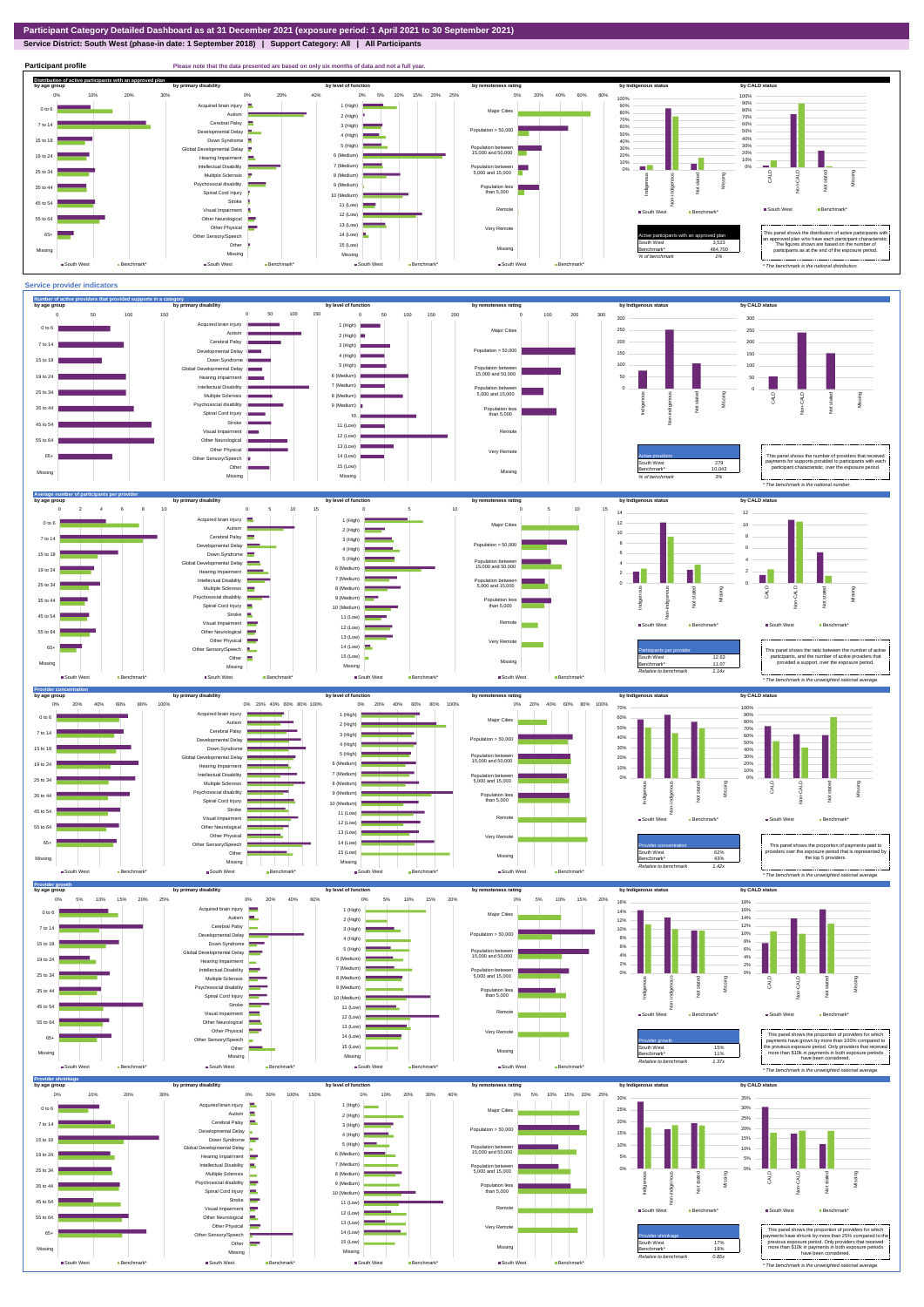**Service District: South West (phase-in date: 1 September 2018) | Support Category: All | All Participants**



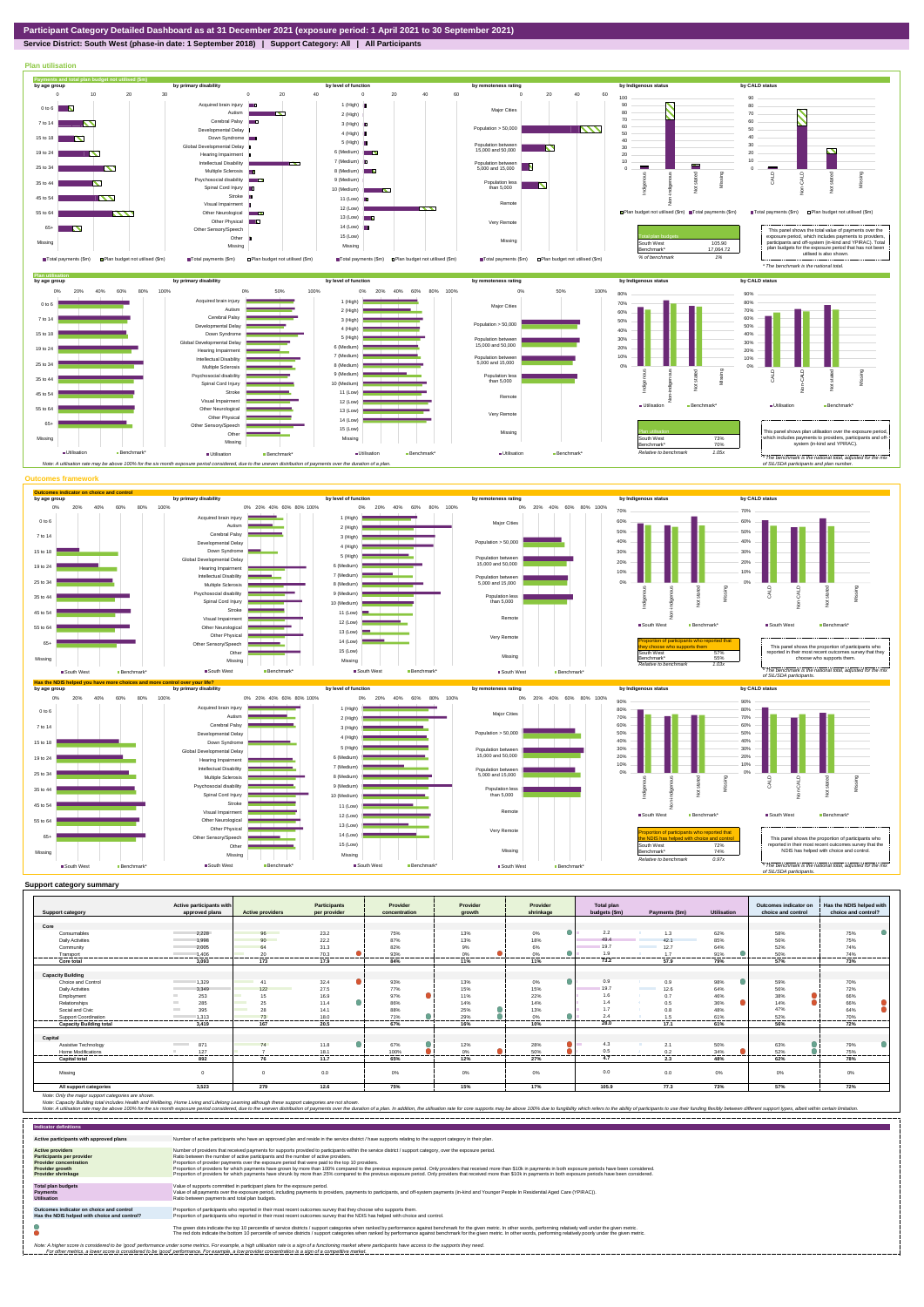**Service District: South West (phase-in date: 1 September 2018) | Support Category: All | All Participants**



| <b>Support category</b>        | Active participants with<br>approved plans | <b>Active providers</b> | <b>Participants</b><br>per provider | Provider<br>concentration | Provider<br>arowth            | Provider<br>shrinkage | <b>Total plan</b><br>budgets (\$m) | Payments (\$m)                   | <b>Utilisation</b> | Outcomes indicator on<br>choice and control | Has the NDIS helped with<br>choice and control? |
|--------------------------------|--------------------------------------------|-------------------------|-------------------------------------|---------------------------|-------------------------------|-----------------------|------------------------------------|----------------------------------|--------------------|---------------------------------------------|-------------------------------------------------|
|                                |                                            |                         |                                     |                           |                               |                       |                                    |                                  |                    |                                             |                                                 |
| Core                           |                                            |                         |                                     |                           |                               |                       |                                    |                                  |                    |                                             |                                                 |
| Consumables                    | 2.228                                      | 96                      | 23.2                                | 75%                       | 13%                           | 0%<br>٠               | 2.2                                | 1.3                              | 62%                | 58%                                         | 75%                                             |
| <b>Daily Activities</b>        | 1.998                                      | 90                      | 22.2                                | 87%                       | 13%                           | 18%                   | 49.4                               | 42.1                             | 85%                | 56%                                         | 75%                                             |
| Community                      | 2.005                                      | 64                      | 31.3                                | 82%                       | 9%                            | 6%                    | 19.7                               | 12.7                             | 64%                | 52%                                         | 74%                                             |
| Transport                      | 1.406<br>---------                         | 20<br>.                 | 70.3                                | 93%                       | 0%                            | 0%                    | 1.9                                | 17<br>------                     | 91%<br>            | 50%                                         | 74%                                             |
| Core total                     | 3,093                                      | 173                     | 17.9                                | 84%                       | 11%                           | 11%                   | 73.2                               | 57.9                             | 79%                | 57%                                         | 73%                                             |
|                                |                                            |                         |                                     |                           |                               |                       |                                    |                                  |                    |                                             |                                                 |
| <b>Capacity Building</b>       |                                            |                         |                                     |                           |                               |                       |                                    |                                  |                    |                                             |                                                 |
| Choice and Control             | 1.329                                      | 41                      | $\bullet$<br>32.4                   | 93%                       | 13%                           | 0%<br>٠               | 0.9                                | 0.9                              | 98%                | 59%                                         | 70%                                             |
| <b>Daily Activities</b>        | 3.349                                      | 122                     | 27.5                                | 77%                       | 15%                           | 15%                   | 19.7                               | 12.6<br><b>Contract Contract</b> | 64%                | 56%                                         | 72%                                             |
| Employment                     | 253                                        | 15<br>and the           | 16.9                                | 97%                       | 11%                           | 22%                   | 1.6                                | 0.7                              | 46%                | 38%                                         | 66%                                             |
| Relationships                  | 285                                        | 25<br><b>Contract</b>   | $\bullet$<br>11.4                   | 86%                       | 14%                           | 14%                   | 1.4                                | 0.5                              | 36%                | 14%                                         | 66%                                             |
| Social and Civic               | 395<br><b>College</b>                      | 28                      | 14.1                                | 88%                       | 25%                           | 13%                   | 17                                 | 0.8                              | 48%                | 47%                                         | 64%                                             |
| Support Coordination<br>       | 1.313                                      | 73<br>                  | 18.0<br>---------                   | 71%<br>----------<br>.    | 29%<br>-----------<br>------- | 0%<br>.               | 2.4                                | 1.5<br>----------                | 61%<br>.           | 52%<br>                                     | 70%<br>------------                             |
| <b>Capacity Building total</b> | 3.419                                      | 167                     | 20.5                                | 67%                       | 16%                           | 10%                   | 28.0                               | 17.1                             | 61%                | 56%                                         | 72%                                             |
|                                |                                            |                         |                                     |                           |                               |                       |                                    |                                  |                    |                                             |                                                 |
| Capital                        |                                            |                         |                                     |                           |                               |                       |                                    |                                  |                    |                                             |                                                 |
| Assistive Technology           | 871<br><b>Contract Contract</b>            | 74                      | 11.8<br>$\bullet$                   | 67%                       | 12%                           | 28%                   | 4.3                                | 2.1                              | 50%                | 63%                                         | 79%                                             |
| Home Modifications             | 127                                        |                         | 18.1                                | 100%                      | 0%                            | 50%                   | 0.5                                | 0.2<br>.                         | 34%                | 52%                                         | 75%                                             |
| <b>Capital total</b>           | 892                                        | 76                      | 11.7                                | 65%                       | 12%                           | 27%                   | 4.7                                | 2.3                              | 48%                | 62%                                         | 78%                                             |
| Missing                        |                                            |                         | 0.0                                 | 0%                        | $0\%$                         | 0%                    | 0.0                                | 0.0                              | $0\%$              | 0%                                          | $0\%$                                           |
| All support categories         | 3,523                                      | 279                     | 12.6                                | 75%                       | 15%                           | 17%                   | 105.9                              | 77.3                             | 73%                | 57%                                         | 72%                                             |

Note: Only the major support categories are shown.<br>Note: Capacity Building total individual Wellbeing, Home Living and Lifelong Learning although these support categories are not shown.<br>Note: A utilisation rate may be abov

| <b>Indicator definitions</b>                                                                                                                        |                                                                                                                                                                                                                                                                                                                                                                                                                                                                                                                                                                                                                                                                                                                                                                                                                 |
|-----------------------------------------------------------------------------------------------------------------------------------------------------|-----------------------------------------------------------------------------------------------------------------------------------------------------------------------------------------------------------------------------------------------------------------------------------------------------------------------------------------------------------------------------------------------------------------------------------------------------------------------------------------------------------------------------------------------------------------------------------------------------------------------------------------------------------------------------------------------------------------------------------------------------------------------------------------------------------------|
| Active participants with approved plans                                                                                                             | Number of active participants who have an approved plan and reside in the service district / have supports relating to the support category in their plan.                                                                                                                                                                                                                                                                                                                                                                                                                                                                                                                                                                                                                                                      |
| <b>Active providers</b><br><b>Participants per provider</b><br><b>Provider concentration</b><br><b>Provider growth</b><br><b>Provider shrinkage</b> | Number of providers that received payments for supports provided to participants within the service district / support category, over the exposure period,<br>Ratio between the number of active participants and the number of active providers.<br>Proportion of provider payments over the exposure period that were paid to the top 10 providers.<br>Proportion of providers for which payments have grown by more than 100% compared to the previous exposure period. Only providers that received more than \$10k in payments in both exposure periods have been considered.<br>Proportion of providers for which payments have shrunk by more than 25% compared to the previous exposure period. Only providers that received more than \$10k in payments in both exposure periods have been considered. |
| <b>Total plan budgets</b><br><b>Payments</b><br><b>Utilisation</b>                                                                                  | Value of supports committed in participant plans for the exposure period.<br>Value of all payments over the exposure period, including payments to providers, payments to participants, and off-system payments (in-kind and Younger People In Residential Aged Care (YPIRAC)).<br>Ratio between payments and total plan budgets.                                                                                                                                                                                                                                                                                                                                                                                                                                                                               |
| Outcomes indicator on choice and control<br>Has the NDIS helped with choice and control?                                                            | Proportion of participants who reported in their most recent outcomes survey that they choose who supports them.<br>Proportion of participants who reported in their most recent outcomes survey that the NDIS has helped with choice and control.                                                                                                                                                                                                                                                                                                                                                                                                                                                                                                                                                              |
|                                                                                                                                                     | The green dots indicate the top 10 percentile of service districts / support categories when ranked by performance against benchmark for the given metric. In other words, performing relatively well under the given metric.<br>The red dots indicate the bottom 10 percentile of service districts / support categories when ranked by performance against benchmark for the given metric. In other words, performing relatively poorly under the given metri                                                                                                                                                                                                                                                                                                                                                 |
|                                                                                                                                                     | Note: A higher score is considered to be 'good' performance under some metrics. For example, a high utilisation rate is a sign of a functioning market where participants have access to the supports they need.<br>For other metrics, a lower score is considered to be 'good' performance. For example, a low provider concentration is a sign of a competitive market.                                                                                                                                                                                                                                                                                                                                                                                                                                       |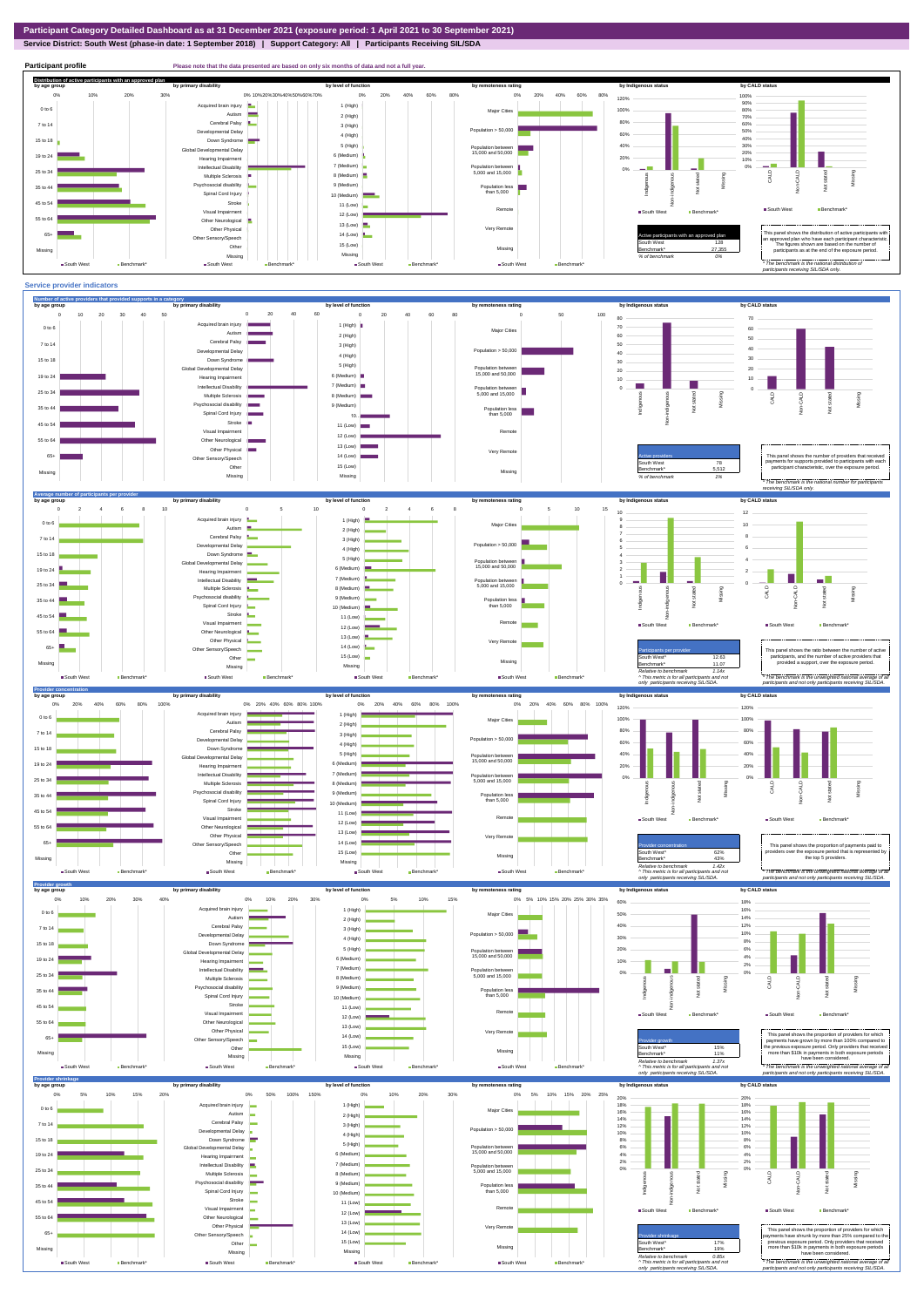## **Service District: South West (phase-in date: 1 September 2018) | Support Category: All | Participants Receiving SIL/SDA**



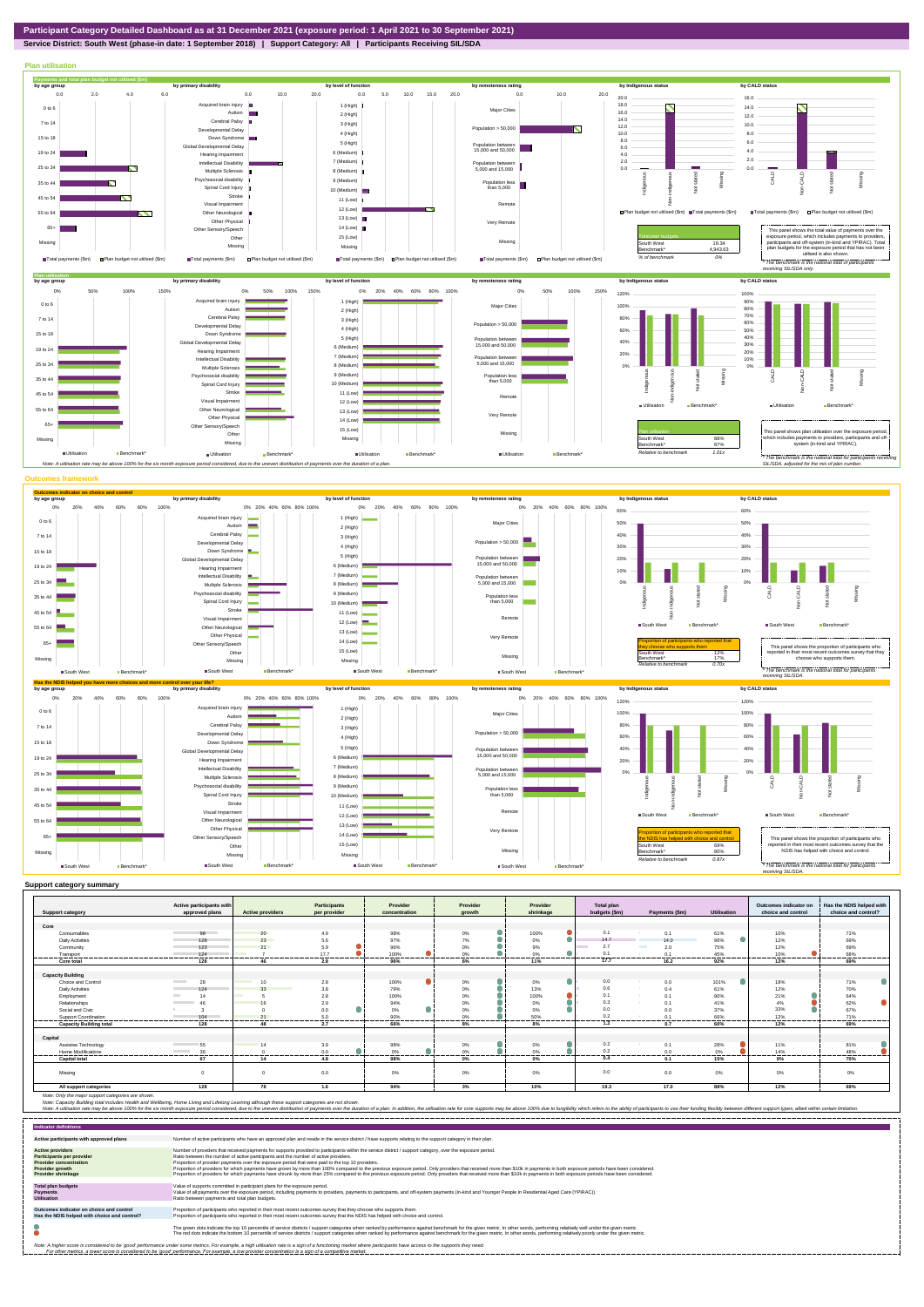**Service District: South West (phase-in date: 1 September 2018) | Support Category: All | Participants Receiving SIL/SDA**

Note: Only the major support categories are shown.<br>Note: Capacity Building total individual Wellbeing, Home Living and Lifelong Learning although these support categories are not shown.<br>Note: A utilisation rate may be abov



|                                | Active participants with       |                                | Participants   | Provider        | Provider       | Provider  | Total plan    |                      |             | Outcomes indicator on | Has the NDIS helped with |
|--------------------------------|--------------------------------|--------------------------------|----------------|-----------------|----------------|-----------|---------------|----------------------|-------------|-----------------------|--------------------------|
| <b>Support category</b>        | approved plans                 | <b>Active providers</b>        | per provider   | concentration   | arowth         | shrinkage | budgets (\$m) | Payments (\$m)       | Utilisation | choice and control    | choice and control?      |
| Core                           |                                |                                |                |                 |                |           |               |                      |             |                       |                          |
| Consumables                    | 98                             | 20                             | 4.9            | 98%             | 0%             | 100%      | 0.1           | 0.1                  | 61%         | 10%                   | 71%                      |
| <b>Daily Activities</b>        | 128                            | 23                             | 5.6            | 97%             | 7%             | $0\%$     | 14.7          | 14.0                 | 96%         | 12%                   | 69%                      |
| Community                      | 123                            | 21                             | 5.9            | 96%             | 0%             | 9%        | 2.7           | <b>The Co</b><br>2.0 | 75%         | 12%                   | 69%                      |
| Transport                      | 124                            |                                | 17.7           | 100%            | $0\%$          | 0%        | 0.1           | 0.1                  | 45%         | 10%                   | 68%                      |
| Core total                     | ,,,,,,,,,<br>128               | 46                             | -------<br>2.8 | --------<br>96% | --------<br>6% | .<br>11%  | 17.7          | --------<br>16.2     | 92%         | -------<br>12%        | .<br>69%                 |
|                                |                                |                                |                |                 |                |           |               |                      |             |                       |                          |
| <b>Capacity Building</b>       |                                |                                |                |                 |                |           |               |                      |             |                       |                          |
| Choice and Control             | 28<br><b>Contract Contract</b> | <b>Contract Contract</b><br>10 | 2.8            | 100%            | 0%             | 0%        | 0.0           | 0.0                  | 101%        | 18%                   | 71%                      |
| <b>Daily Activities</b>        | 124                            | 33<br><b>Service Service</b>   | 3.8            | 79%             | $0\%$          | 13%       | 0.6           | 0.4                  | 61%         | 12%                   | 70%                      |
| Employment                     | 14                             |                                | 2.8            | 100%            | 0%             | 100%      | 0.1           | 0.1<br><b>ALC</b>    | 90%         | 21%                   | 64%                      |
| Relationships                  | 46                             |                                | 2.9            | 94%             | $0\%$          | $0\%$     | 0.3           | 0.1                  | 41%         | 4%                    | 62%                      |
| Social and Civic               |                                |                                | 0.0            | 0%              | 0%             | 0%        | 0.0           | 0.0                  | 37%         | 33%                   | 67%                      |
| Support Coordination           | 104                            | 21                             | 5.0            | 90%             | 0%             | 50%       | 0.2           | 0.1                  | 66%         | 12%                   | 71%                      |
| <b>Capacity Building total</b> | 128                            | 48                             | 2.7            | 66%             | 8%             | 8%        | 1.2           | 0.7                  | 60%         | 12%                   | 69%                      |
|                                |                                |                                |                |                 |                |           |               |                      |             |                       |                          |
| Capital                        |                                |                                |                |                 |                |           |               |                      |             |                       |                          |
| Assistive Technology           | 55                             | 1 <sub>A</sub>                 | 3.9            | 98%             | 0%             | 0%        | 0.2           | 0.1                  | 28%         | 11%                   | 81%                      |
| <b>Home Modifications</b>      | 36<br><b>Contract Contract</b> |                                | 0.0            | 0%              | 0%             | 0%        | 0.2<br>-----  | 0.0                  | 0%          | 14%                   | 48%                      |
| <b>Capital total</b>           | 67                             | 14                             | 4.8            | 98%             | $0\%$          | $0\%$     | 0.4           | 0.1                  | 15%         | 9%                    | 70%                      |
|                                |                                |                                |                |                 |                |           |               |                      |             |                       |                          |
| Missina                        |                                | $\Omega$                       | 0.0            | 0%              | 0%             | 0%        | 0.0           | 0.0                  | 0%          | 0%                    | 0%                       |
| All support categories         | 128                            | 78                             | 1.6            | 94%             | 3%             | 10%       | 19.3          | 17.0                 | 88%         | 12%                   | 69%                      |

| <b>Indicator definitions</b>                                                                                                                        |                                                                                                                                                                                                                                                                                                                                                                                                                                                                                                                                                                                                                                                                                                                                                                                                                 |
|-----------------------------------------------------------------------------------------------------------------------------------------------------|-----------------------------------------------------------------------------------------------------------------------------------------------------------------------------------------------------------------------------------------------------------------------------------------------------------------------------------------------------------------------------------------------------------------------------------------------------------------------------------------------------------------------------------------------------------------------------------------------------------------------------------------------------------------------------------------------------------------------------------------------------------------------------------------------------------------|
| Active participants with approved plans                                                                                                             | Number of active participants who have an approved plan and reside in the service district / have supports relating to the support category in their plan.                                                                                                                                                                                                                                                                                                                                                                                                                                                                                                                                                                                                                                                      |
| <b>Active providers</b><br><b>Participants per provider</b><br><b>Provider concentration</b><br><b>Provider growth</b><br><b>Provider shrinkage</b> | Number of providers that received payments for supports provided to participants within the service district / support category, over the exposure period.<br>Ratio between the number of active participants and the number of active providers.<br>Proportion of provider payments over the exposure period that were paid to the top 10 providers.<br>Proportion of providers for which payments have grown by more than 100% compared to the previous exposure period. Only providers that received more than \$10k in payments in both exposure periods have been considered.<br>Proportion of providers for which payments have shrunk by more than 25% compared to the previous exposure period. Only providers that received more than \$10k in payments in both exposure periods have been considered. |
| <b>Total plan budgets</b><br><b>Payments</b><br><b>Utilisation</b>                                                                                  | Value of supports committed in participant plans for the exposure period.<br>Value of all payments over the exposure period, including payments to providers, payments to participants, and off-system payments (in-kind and Younger People In Residential Aged Care (YPIRAC)).<br>Ratio between payments and total plan budgets.                                                                                                                                                                                                                                                                                                                                                                                                                                                                               |
| Outcomes indicator on choice and control<br>Has the NDIS helped with choice and control?                                                            | Proportion of participants who reported in their most recent outcomes survey that they choose who supports them.<br>Proportion of participants who reported in their most recent outcomes survey that the NDIS has helped with choice and control.                                                                                                                                                                                                                                                                                                                                                                                                                                                                                                                                                              |
|                                                                                                                                                     | The green dots indicate the top 10 percentile of service districts / support categories when ranked by performance against benchmark for the given metric. In other words, performing relatively well under the given metric.<br>The red dots indicate the bottom 10 percentile of service districts / support categories when ranked by performance against benchmark for the given metric. In other words, performing relatively poorly under the given metri                                                                                                                                                                                                                                                                                                                                                 |
|                                                                                                                                                     | Note: A higher score is considered to be 'good' performance under some metrics. For example, a high utilisation rate is a sign of a functioning market where participants have access to the supports they need.<br>For other metrics, a lower score is considered to be 'good' performance. For example, a low provider concentration is a sign of a competitive market.                                                                                                                                                                                                                                                                                                                                                                                                                                       |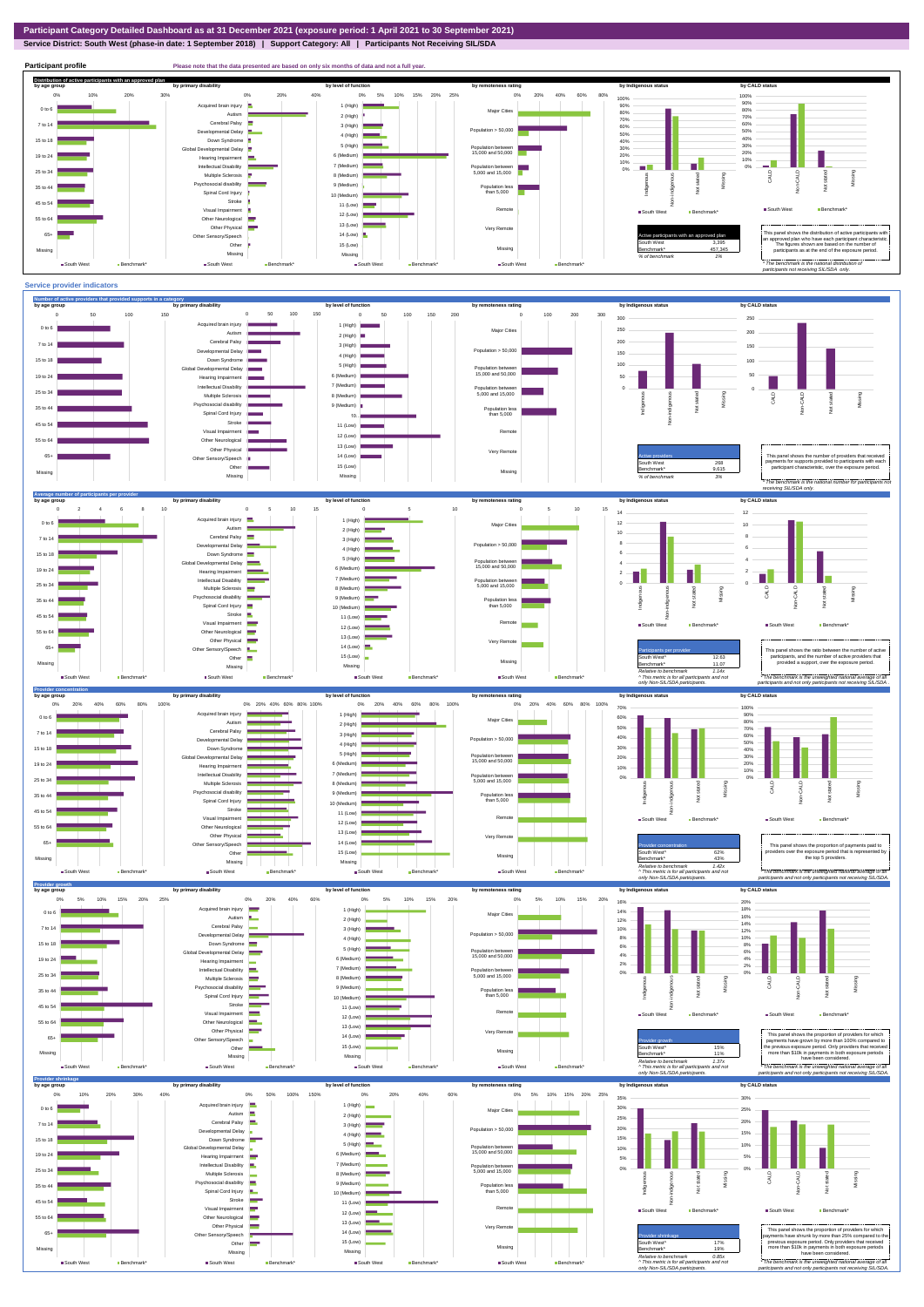## **Service District: South West (phase-in date: 1 September 2018) | Support Category: All | Participants Not Receiving SIL/SDA**

**Participant profile Please note that the data presented are based on only six months of data and not a full year. Distribution of active participants with an approved plan** by age group by primary disability by remoteness rating by hdigenous status by CALD status 0% 5% 10% 15% 20% 25% 0% 20% 40% 60% 80% 0% 10% 20% 30% 0% 20% 40% 100% 100% d brain injury 90% 1 (High) 80% 90% 0 to 6 Major Cities 80% Autism **I** 2 (High) 70% 70% Cerebral Palsy 60% 7 to 14 3 (High) 50% 60% ental Delay Population  $> 50,000$ 4 (High) 40% 50% 15 to 18 Down Syndrome 5 (High) 30% 40% 30% bal Developmental Delay Population between 15,000 and 50,000 20% 6 (Medium) 20% 19 to 24 Hearing Impairment 10% 10%  $\Box$ 7 (Medium) Intellectual Disability  $\sim$ ш 0% Population between 5,000 and 15,000 0% 25 to 34 Multiple Sclerosis 8 (Medium) CALD Non-CALD Missing Not stated anous Non-indigenous .<br>cial disability Missing 9 (Medium) Population less than 5,000 nstated in 1916.<br>Note 35 to 44 Spinal Cord Injury i<br>Tei Ĕ 10 (Medium) Stroke 45 to 54 Ş 11 (Low) Remote ■ South West Benchm Visual Impairment ■ South West Benchmark\* 12 (Low) 55 to 64 Other Neurological 13 (Low) Other Physical Very Remote Active participants with an approved plan This panel shows the distribution of active participants with an approved plan who have each participant characteristic. 65+ Sensory/Speech 14 (Low)  $\blacksquare$ Other 15 (Low) South West 3,395 The figures shown are based on the number of participants as at the end of the exposure period. Missing 457,345 Missing Missing Missing *% of benchmark 1% The benchmark is the natio participants not receiving SIL/SDA only.* ■ South West Benchmark ■ South West Benchmark\* South West Ben ■ South West Ben